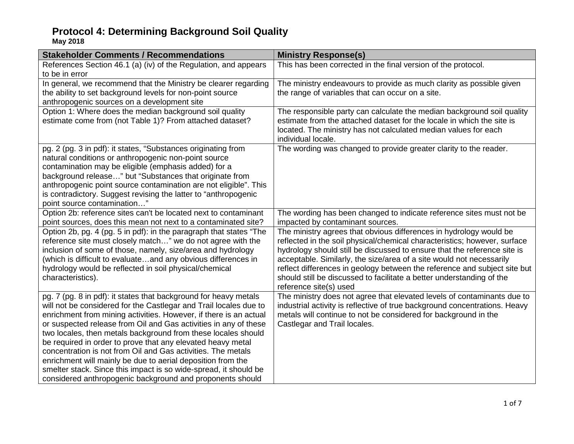**May 2018**

| <b>Stakeholder Comments / Recommendations</b>                                                                                                                                                                                                                                                                                                                                                                                                                                                                                                                                                                                                                                  | <b>Ministry Response(s)</b>                                                                                                                                                                                                                                                                                                                                                                                                                                                         |
|--------------------------------------------------------------------------------------------------------------------------------------------------------------------------------------------------------------------------------------------------------------------------------------------------------------------------------------------------------------------------------------------------------------------------------------------------------------------------------------------------------------------------------------------------------------------------------------------------------------------------------------------------------------------------------|-------------------------------------------------------------------------------------------------------------------------------------------------------------------------------------------------------------------------------------------------------------------------------------------------------------------------------------------------------------------------------------------------------------------------------------------------------------------------------------|
| References Section 46.1 (a) (iv) of the Regulation, and appears<br>to be in error                                                                                                                                                                                                                                                                                                                                                                                                                                                                                                                                                                                              | This has been corrected in the final version of the protocol.                                                                                                                                                                                                                                                                                                                                                                                                                       |
| In general, we recommend that the Ministry be clearer regarding<br>the ability to set background levels for non-point source<br>anthropogenic sources on a development site                                                                                                                                                                                                                                                                                                                                                                                                                                                                                                    | The ministry endeavours to provide as much clarity as possible given<br>the range of variables that can occur on a site.                                                                                                                                                                                                                                                                                                                                                            |
| Option 1: Where does the median background soil quality<br>estimate come from (not Table 1)? From attached dataset?                                                                                                                                                                                                                                                                                                                                                                                                                                                                                                                                                            | The responsible party can calculate the median background soil quality<br>estimate from the attached dataset for the locale in which the site is<br>located. The ministry has not calculated median values for each<br>individual locale.                                                                                                                                                                                                                                           |
| pg. 2 (pg. 3 in pdf): it states, "Substances originating from<br>natural conditions or anthropogenic non-point source<br>contamination may be eligible (emphasis added) for a<br>background release" but "Substances that originate from<br>anthropogenic point source contamination are not eligible". This<br>is contradictory. Suggest revising the latter to "anthropogenic<br>point source contamination"                                                                                                                                                                                                                                                                 | The wording was changed to provide greater clarity to the reader.                                                                                                                                                                                                                                                                                                                                                                                                                   |
| Option 2b: reference sites can't be located next to contaminant<br>point sources, does this mean not next to a contaminated site?                                                                                                                                                                                                                                                                                                                                                                                                                                                                                                                                              | The wording has been changed to indicate reference sites must not be<br>impacted by contaminant sources.                                                                                                                                                                                                                                                                                                                                                                            |
| Option 2b, pg. 4 (pg. 5 in pdf): in the paragraph that states "The<br>reference site must closely match" we do not agree with the<br>inclusion of some of those, namely, size/area and hydrology<br>(which is difficult to evaluateand any obvious differences in<br>hydrology would be reflected in soil physical/chemical<br>characteristics).                                                                                                                                                                                                                                                                                                                               | The ministry agrees that obvious differences in hydrology would be<br>reflected in the soil physical/chemical characteristics; however, surface<br>hydrology should still be discussed to ensure that the reference site is<br>acceptable. Similarly, the size/area of a site would not necessarily<br>reflect differences in geology between the reference and subject site but<br>should still be discussed to facilitate a better understanding of the<br>reference site(s) used |
| pg. 7 (pg. 8 in pdf): it states that background for heavy metals<br>will not be considered for the Castlegar and Trail locales due to<br>enrichment from mining activities. However, if there is an actual<br>or suspected release from Oil and Gas activities in any of these<br>two locales, then metals background from these locales should<br>be required in order to prove that any elevated heavy metal<br>concentration is not from Oil and Gas activities. The metals<br>enrichment will mainly be due to aerial deposition from the<br>smelter stack. Since this impact is so wide-spread, it should be<br>considered anthropogenic background and proponents should | The ministry does not agree that elevated levels of contaminants due to<br>industrial activity is reflective of true background concentrations. Heavy<br>metals will continue to not be considered for background in the<br>Castlegar and Trail locales.                                                                                                                                                                                                                            |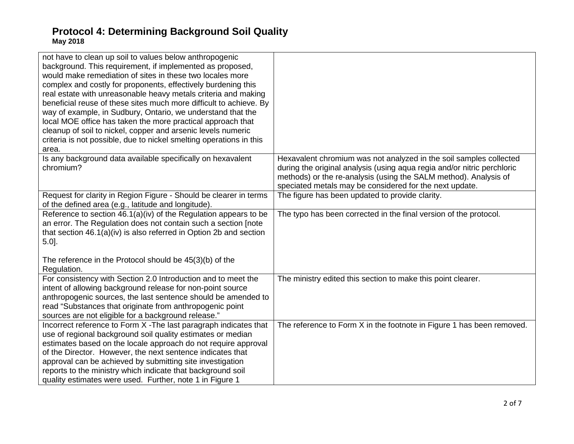| not have to clean up soil to values below anthropogenic<br>background. This requirement, if implemented as proposed,<br>would make remediation of sites in these two locales more<br>complex and costly for proponents, effectively burdening this<br>real estate with unreasonable heavy metals criteria and making<br>beneficial reuse of these sites much more difficult to achieve. By<br>way of example, in Sudbury, Ontario, we understand that the<br>local MOE office has taken the more practical approach that<br>cleanup of soil to nickel, copper and arsenic levels numeric<br>criteria is not possible, due to nickel smelting operations in this |                                                                                                                                                                                                                                                                              |
|-----------------------------------------------------------------------------------------------------------------------------------------------------------------------------------------------------------------------------------------------------------------------------------------------------------------------------------------------------------------------------------------------------------------------------------------------------------------------------------------------------------------------------------------------------------------------------------------------------------------------------------------------------------------|------------------------------------------------------------------------------------------------------------------------------------------------------------------------------------------------------------------------------------------------------------------------------|
| area.                                                                                                                                                                                                                                                                                                                                                                                                                                                                                                                                                                                                                                                           |                                                                                                                                                                                                                                                                              |
| Is any background data available specifically on hexavalent<br>chromium?                                                                                                                                                                                                                                                                                                                                                                                                                                                                                                                                                                                        | Hexavalent chromium was not analyzed in the soil samples collected<br>during the original analysis (using aqua regia and/or nitric perchloric<br>methods) or the re-analysis (using the SALM method). Analysis of<br>speciated metals may be considered for the next update. |
| Request for clarity in Region Figure - Should be clearer in terms<br>of the defined area (e.g., latitude and longitude).                                                                                                                                                                                                                                                                                                                                                                                                                                                                                                                                        | The figure has been updated to provide clarity.                                                                                                                                                                                                                              |
| Reference to section 46.1(a)(iv) of the Regulation appears to be<br>an error. The Regulation does not contain such a section [note]<br>that section 46.1(a)(iv) is also referred in Option 2b and section<br>$5.0$ ].                                                                                                                                                                                                                                                                                                                                                                                                                                           | The typo has been corrected in the final version of the protocol.                                                                                                                                                                                                            |
| The reference in the Protocol should be 45(3)(b) of the<br>Regulation.                                                                                                                                                                                                                                                                                                                                                                                                                                                                                                                                                                                          |                                                                                                                                                                                                                                                                              |
| For consistency with Section 2.0 Introduction and to meet the<br>intent of allowing background release for non-point source<br>anthropogenic sources, the last sentence should be amended to<br>read "Substances that originate from anthropogenic point<br>sources are not eligible for a background release."                                                                                                                                                                                                                                                                                                                                                 | The ministry edited this section to make this point clearer.                                                                                                                                                                                                                 |
| Incorrect reference to Form X - The last paragraph indicates that<br>use of regional background soil quality estimates or median<br>estimates based on the locale approach do not require approval<br>of the Director. However, the next sentence indicates that<br>approval can be achieved by submitting site investigation<br>reports to the ministry which indicate that background soil<br>quality estimates were used. Further, note 1 in Figure 1                                                                                                                                                                                                        | The reference to Form X in the footnote in Figure 1 has been removed.                                                                                                                                                                                                        |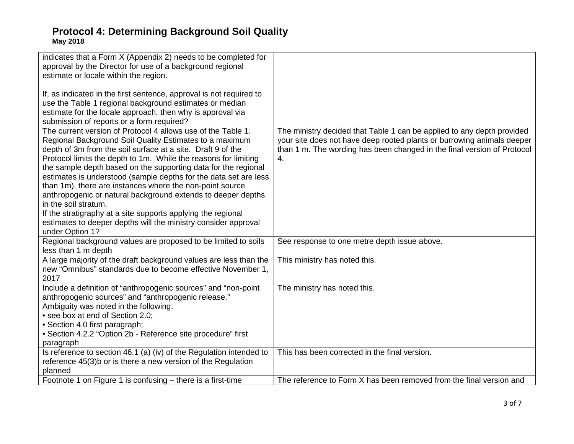| indicates that a Form X (Appendix 2) needs to be completed for      |                                                                         |
|---------------------------------------------------------------------|-------------------------------------------------------------------------|
| approval by the Director for use of a background regional           |                                                                         |
| estimate or locale within the region.                               |                                                                         |
|                                                                     |                                                                         |
| If, as indicated in the first sentence, approval is not required to |                                                                         |
| use the Table 1 regional background estimates or median             |                                                                         |
| estimate for the locale approach, then why is approval via          |                                                                         |
|                                                                     |                                                                         |
| submission of reports or a form required?                           |                                                                         |
| The current version of Protocol 4 allows use of the Table 1.        | The ministry decided that Table 1 can be applied to any depth provided  |
| Regional Background Soil Quality Estimates to a maximum             | your site does not have deep rooted plants or burrowing animals deeper  |
| depth of 3m from the soil surface at a site. Draft 9 of the         | than 1 m. The wording has been changed in the final version of Protocol |
| Protocol limits the depth to 1m. While the reasons for limiting     | 4.                                                                      |
| the sample depth based on the supporting data for the regional      |                                                                         |
| estimates is understood (sample depths for the data set are less    |                                                                         |
| than 1m), there are instances where the non-point source            |                                                                         |
| anthropogenic or natural background extends to deeper depths        |                                                                         |
| in the soil stratum.                                                |                                                                         |
|                                                                     |                                                                         |
| If the stratigraphy at a site supports applying the regional        |                                                                         |
| estimates to deeper depths will the ministry consider approval      |                                                                         |
| under Option 1?                                                     |                                                                         |
| Regional background values are proposed to be limited to soils      | See response to one metre depth issue above.                            |
| less than 1 m depth                                                 |                                                                         |
| A large majority of the draft background values are less than the   | This ministry has noted this.                                           |
| new "Omnibus" standards due to become effective November 1,         |                                                                         |
| 2017                                                                |                                                                         |
| Include a definition of "anthropogenic sources" and "non-point      | The ministry has noted this.                                            |
| anthropogenic sources" and "anthropogenic release."                 |                                                                         |
| Ambiguity was noted in the following:                               |                                                                         |
| • see box at end of Section 2.0;                                    |                                                                         |
|                                                                     |                                                                         |
| • Section 4.0 first paragraph;                                      |                                                                         |
| • Section 4.2.2 "Option 2b - Reference site procedure" first        |                                                                         |
| paragraph                                                           |                                                                         |
| Is reference to section 46.1 (a) (iv) of the Regulation intended to | This has been corrected in the final version.                           |
| reference 45(3)b or is there a new version of the Regulation        |                                                                         |
| planned                                                             |                                                                         |
| Footnote 1 on Figure 1 is confusing – there is a first-time         | The reference to Form X has been removed from the final version and     |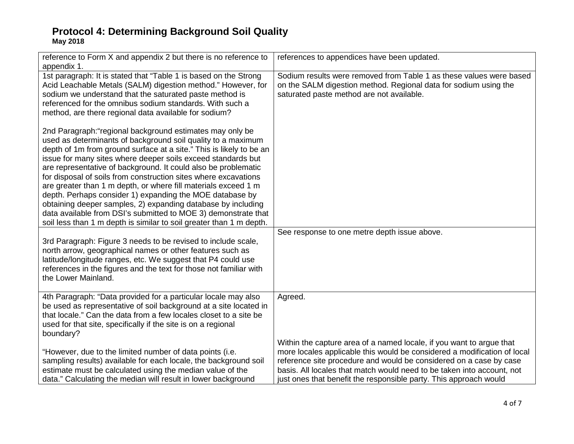| reference to Form X and appendix 2 but there is no reference to<br>appendix 1.                                                                                                                                                                                                                                                                                                                                                                                                                                                                                                                                                                                                                                                              | references to appendices have been updated.                                                                                                                                                                                                                                                                                                                           |
|---------------------------------------------------------------------------------------------------------------------------------------------------------------------------------------------------------------------------------------------------------------------------------------------------------------------------------------------------------------------------------------------------------------------------------------------------------------------------------------------------------------------------------------------------------------------------------------------------------------------------------------------------------------------------------------------------------------------------------------------|-----------------------------------------------------------------------------------------------------------------------------------------------------------------------------------------------------------------------------------------------------------------------------------------------------------------------------------------------------------------------|
| 1st paragraph: It is stated that "Table 1 is based on the Strong<br>Acid Leachable Metals (SALM) digestion method." However, for<br>sodium we understand that the saturated paste method is<br>referenced for the omnibus sodium standards. With such a<br>method, are there regional data available for sodium?                                                                                                                                                                                                                                                                                                                                                                                                                            | Sodium results were removed from Table 1 as these values were based<br>on the SALM digestion method. Regional data for sodium using the<br>saturated paste method are not available.                                                                                                                                                                                  |
| 2nd Paragraph:"regional background estimates may only be<br>used as determinants of background soil quality to a maximum<br>depth of 1m from ground surface at a site." This is likely to be an<br>issue for many sites where deeper soils exceed standards but<br>are representative of background. It could also be problematic<br>for disposal of soils from construction sites where excavations<br>are greater than 1 m depth, or where fill materials exceed 1 m<br>depth. Perhaps consider 1) expanding the MOE database by<br>obtaining deeper samples, 2) expanding database by including<br>data available from DSI's submitted to MOE 3) demonstrate that<br>soil less than 1 m depth is similar to soil greater than 1 m depth. |                                                                                                                                                                                                                                                                                                                                                                       |
|                                                                                                                                                                                                                                                                                                                                                                                                                                                                                                                                                                                                                                                                                                                                             | See response to one metre depth issue above.                                                                                                                                                                                                                                                                                                                          |
| 3rd Paragraph: Figure 3 needs to be revised to include scale,<br>north arrow, geographical names or other features such as<br>latitude/longitude ranges, etc. We suggest that P4 could use<br>references in the figures and the text for those not familiar with<br>the Lower Mainland.                                                                                                                                                                                                                                                                                                                                                                                                                                                     |                                                                                                                                                                                                                                                                                                                                                                       |
| 4th Paragraph: "Data provided for a particular locale may also<br>be used as representative of soil background at a site located in<br>that locale." Can the data from a few locales closet to a site be<br>used for that site, specifically if the site is on a regional<br>boundary?                                                                                                                                                                                                                                                                                                                                                                                                                                                      | Agreed.                                                                                                                                                                                                                                                                                                                                                               |
| "However, due to the limited number of data points (i.e.<br>sampling results) available for each locale, the background soil<br>estimate must be calculated using the median value of the<br>data." Calculating the median will result in lower background                                                                                                                                                                                                                                                                                                                                                                                                                                                                                  | Within the capture area of a named locale, if you want to argue that<br>more locales applicable this would be considered a modification of local<br>reference site procedure and would be considered on a case by case<br>basis. All locales that match would need to be taken into account, not<br>just ones that benefit the responsible party. This approach would |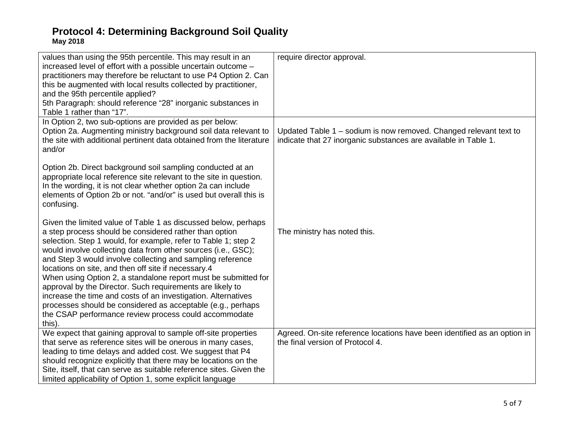| values than using the 95th percentile. This may result in an<br>increased level of effort with a possible uncertain outcome -<br>practitioners may therefore be reluctant to use P4 Option 2. Can<br>this be augmented with local results collected by practitioner,<br>and the 95th percentile applied?<br>5th Paragraph: should reference "28" inorganic substances in<br>Table 1 rather than "17".                                                                                                                                                                                                                                                                                                              | require director approval.                                                                                                           |
|--------------------------------------------------------------------------------------------------------------------------------------------------------------------------------------------------------------------------------------------------------------------------------------------------------------------------------------------------------------------------------------------------------------------------------------------------------------------------------------------------------------------------------------------------------------------------------------------------------------------------------------------------------------------------------------------------------------------|--------------------------------------------------------------------------------------------------------------------------------------|
| In Option 2, two sub-options are provided as per below:<br>Option 2a. Augmenting ministry background soil data relevant to<br>the site with additional pertinent data obtained from the literature<br>and/or                                                                                                                                                                                                                                                                                                                                                                                                                                                                                                       | Updated Table 1 – sodium is now removed. Changed relevant text to<br>indicate that 27 inorganic substances are available in Table 1. |
| Option 2b. Direct background soil sampling conducted at an<br>appropriate local reference site relevant to the site in question.<br>In the wording, it is not clear whether option 2a can include<br>elements of Option 2b or not. "and/or" is used but overall this is<br>confusing.                                                                                                                                                                                                                                                                                                                                                                                                                              |                                                                                                                                      |
| Given the limited value of Table 1 as discussed below, perhaps<br>a step process should be considered rather than option<br>selection. Step 1 would, for example, refer to Table 1; step 2<br>would involve collecting data from other sources (i.e., GSC);<br>and Step 3 would involve collecting and sampling reference<br>locations on site, and then off site if necessary.4<br>When using Option 2, a standalone report must be submitted for<br>approval by the Director. Such requirements are likely to<br>increase the time and costs of an investigation. Alternatives<br>processes should be considered as acceptable (e.g., perhaps<br>the CSAP performance review process could accommodate<br>this). | The ministry has noted this.                                                                                                         |
| We expect that gaining approval to sample off-site properties<br>that serve as reference sites will be onerous in many cases,<br>leading to time delays and added cost. We suggest that P4<br>should recognize explicitly that there may be locations on the<br>Site, itself, that can serve as suitable reference sites. Given the<br>limited applicability of Option 1, some explicit language                                                                                                                                                                                                                                                                                                                   | Agreed. On-site reference locations have been identified as an option in<br>the final version of Protocol 4.                         |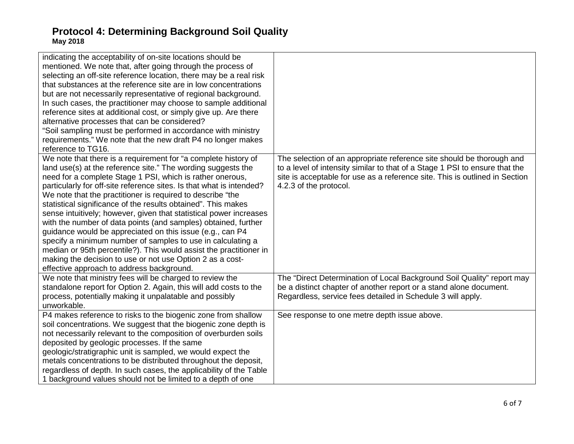| indicating the acceptability of on-site locations should be<br>mentioned. We note that, after going through the process of<br>selecting an off-site reference location, there may be a real risk<br>that substances at the reference site are in low concentrations<br>but are not necessarily representative of regional background.<br>In such cases, the practitioner may choose to sample additional<br>reference sites at additional cost, or simply give up. Are there<br>alternative processes that can be considered?<br>"Soil sampling must be performed in accordance with ministry<br>requirements." We note that the new draft P4 no longer makes<br>reference to TG16.                                                                                                                                                                    |                                                                                                                                                                                                                                                               |
|--------------------------------------------------------------------------------------------------------------------------------------------------------------------------------------------------------------------------------------------------------------------------------------------------------------------------------------------------------------------------------------------------------------------------------------------------------------------------------------------------------------------------------------------------------------------------------------------------------------------------------------------------------------------------------------------------------------------------------------------------------------------------------------------------------------------------------------------------------|---------------------------------------------------------------------------------------------------------------------------------------------------------------------------------------------------------------------------------------------------------------|
| We note that there is a requirement for "a complete history of<br>land use(s) at the reference site." The wording suggests the<br>need for a complete Stage 1 PSI, which is rather onerous,<br>particularly for off-site reference sites. Is that what is intended?<br>We note that the practitioner is required to describe "the<br>statistical significance of the results obtained". This makes<br>sense intuitively; however, given that statistical power increases<br>with the number of data points (and samples) obtained, further<br>guidance would be appreciated on this issue (e.g., can P4<br>specify a minimum number of samples to use in calculating a<br>median or 95th percentile?). This would assist the practitioner in<br>making the decision to use or not use Option 2 as a cost-<br>effective approach to address background. | The selection of an appropriate reference site should be thorough and<br>to a level of intensity similar to that of a Stage 1 PSI to ensure that the<br>site is acceptable for use as a reference site. This is outlined in Section<br>4.2.3 of the protocol. |
| We note that ministry fees will be charged to review the<br>standalone report for Option 2. Again, this will add costs to the<br>process, potentially making it unpalatable and possibly<br>unworkable.                                                                                                                                                                                                                                                                                                                                                                                                                                                                                                                                                                                                                                                | The "Direct Determination of Local Background Soil Quality" report may<br>be a distinct chapter of another report or a stand alone document.<br>Regardless, service fees detailed in Schedule 3 will apply.                                                   |
| P4 makes reference to risks to the biogenic zone from shallow<br>soil concentrations. We suggest that the biogenic zone depth is<br>not necessarily relevant to the composition of overburden soils<br>deposited by geologic processes. If the same<br>geologic/stratigraphic unit is sampled, we would expect the<br>metals concentrations to be distributed throughout the deposit,<br>regardless of depth. In such cases, the applicability of the Table<br>1 background values should not be limited to a depth of one                                                                                                                                                                                                                                                                                                                             | See response to one metre depth issue above.                                                                                                                                                                                                                  |